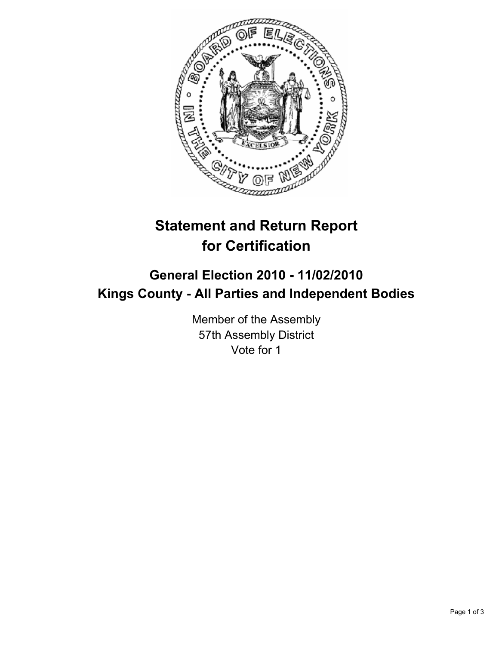

## **Statement and Return Report for Certification**

## **General Election 2010 - 11/02/2010 Kings County - All Parties and Independent Bodies**

Member of the Assembly 57th Assembly District Vote for 1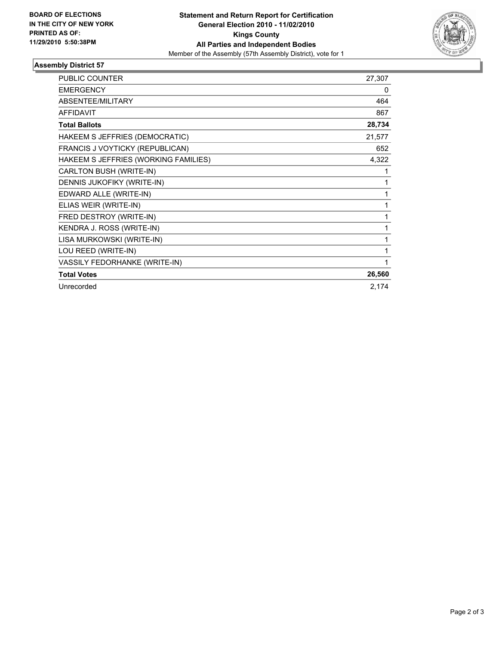

## **Assembly District 57**

| <b>PUBLIC COUNTER</b>                | 27,307 |
|--------------------------------------|--------|
| <b>EMERGENCY</b>                     | 0      |
| <b>ABSENTEE/MILITARY</b>             | 464    |
| <b>AFFIDAVIT</b>                     | 867    |
| <b>Total Ballots</b>                 | 28,734 |
| HAKEEM S JEFFRIES (DEMOCRATIC)       | 21,577 |
| FRANCIS J VOYTICKY (REPUBLICAN)      | 652    |
| HAKEEM S JEFFRIES (WORKING FAMILIES) | 4,322  |
| CARLTON BUSH (WRITE-IN)              | 1      |
| DENNIS JUKOFIKY (WRITE-IN)           | 1      |
| EDWARD ALLE (WRITE-IN)               | 1      |
| ELIAS WEIR (WRITE-IN)                | 1      |
| FRED DESTROY (WRITE-IN)              | 1      |
| KENDRA J. ROSS (WRITE-IN)            | 1      |
| LISA MURKOWSKI (WRITE-IN)            |        |
| LOU REED (WRITE-IN)                  | 1      |
| VASSILY FEDORHANKE (WRITE-IN)        | 1      |
| <b>Total Votes</b>                   | 26,560 |
| Unrecorded                           | 2,174  |